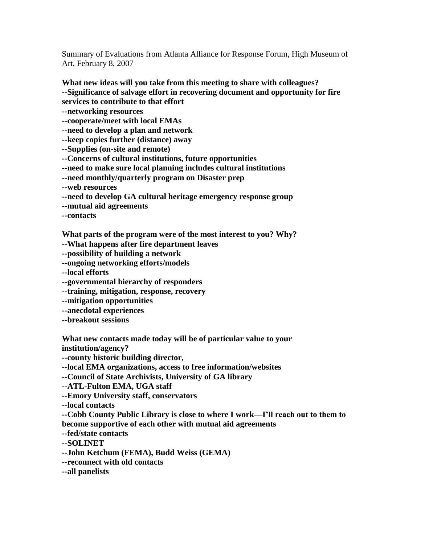Summary of Evaluations from Atlanta Alliance for Response Forum, High Museum of Art, February 8, 2007

**What new ideas will you take from this meeting to share with colleagues? --Significance of salvage effort in recovering document and opportunity for fire services to contribute to that effort --networking resources --cooperate/meet with local EMAs --need to develop a plan and network --keep copies further (distance) away --Supplies (on-site and remote) --Concerns of cultural institutions, future opportunities --need to make sure local planning includes cultural institutions --need monthly/quarterly program on Disaster prep --web resources --need to develop GA cultural heritage emergency response group --mutual aid agreements --contacts**

**What parts of the program were of the most interest to you? Why?**

**--What happens after fire department leaves**

**--possibility of building a network**

**--ongoing networking efforts/models**

**--local efforts**

**--governmental hierarchy of responders**

**--training, mitigation, response, recovery**

**--mitigation opportunities**

**--anecdotal experiences**

**--breakout sessions**

**What new contacts made today will be of particular value to your institution/agency?**

**--county historic building director,** 

**--local EMA organizations, access to free information/websites**

**--Council of State Archivists, University of GA library**

**--ATL-Fulton EMA, UGA staff**

**--Emory University staff, conservators**

**--local contacts**

**--Cobb County Public Library is close to where I work—I'll reach out to them to become supportive of each other with mutual aid agreements**

**--fed/state contacts**

**--SOLINET**

**--John Ketchum (FEMA), Budd Weiss (GEMA)**

**--reconnect with old contacts**

**--all panelists**